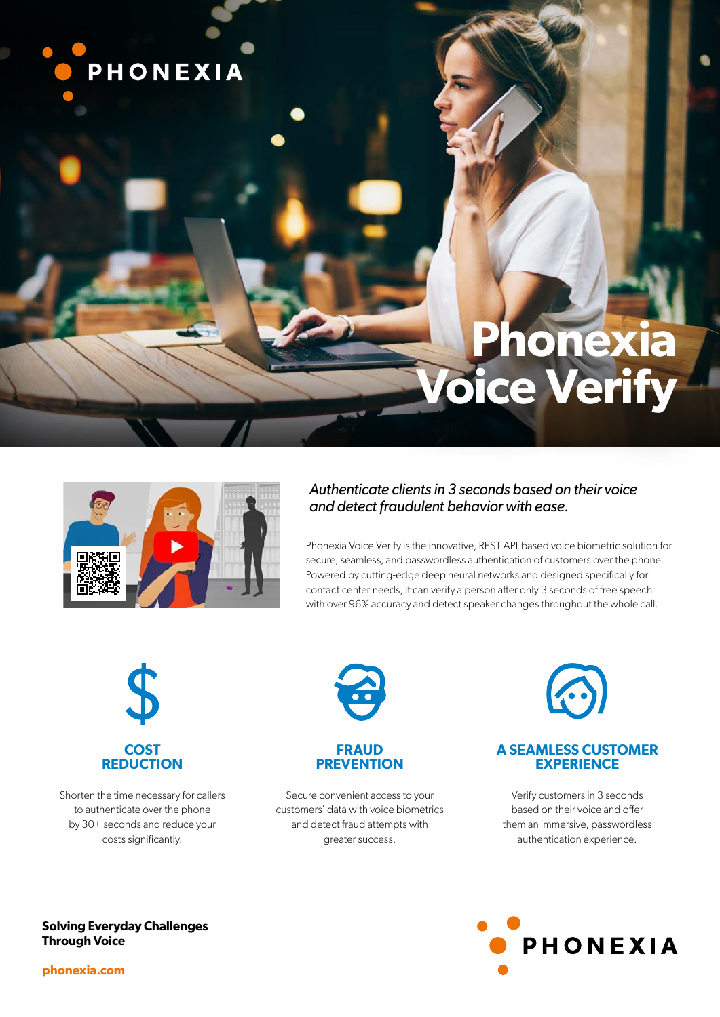

# **Phonexia Voice Verify**



# *Authenticate clients in 3 seconds based on their voice and detect fraudulent behavior with ease.*

Phonexia Voice Verify is the innovative, REST API-based voice biometric solution for secure, seamless, and passwordless authentication of customers over the phone. Powered by cutting-edge deep neural networks and designed specifically for contact center needs, it can verify a person after only 3 seconds of free speech with over 96% accuracy and detect speaker changes throughout the whole call.



Shorten the time necessary for callers to authenticate over the phone by 30+ seconds and reduce your costs significantly.



# **FRAUD PREVENTION**

Secure convenient access to your customers' data with voice biometrics and detect fraud attempts with greater success.



# **A SEAMLESS CUSTOMER EXPERIENCE**

Verify customers in 3 seconds based on their voice and offer them an immersive, passwordless authentication experience.



**Solving Everyday Challenges Through Voice**

**phonexia.com**